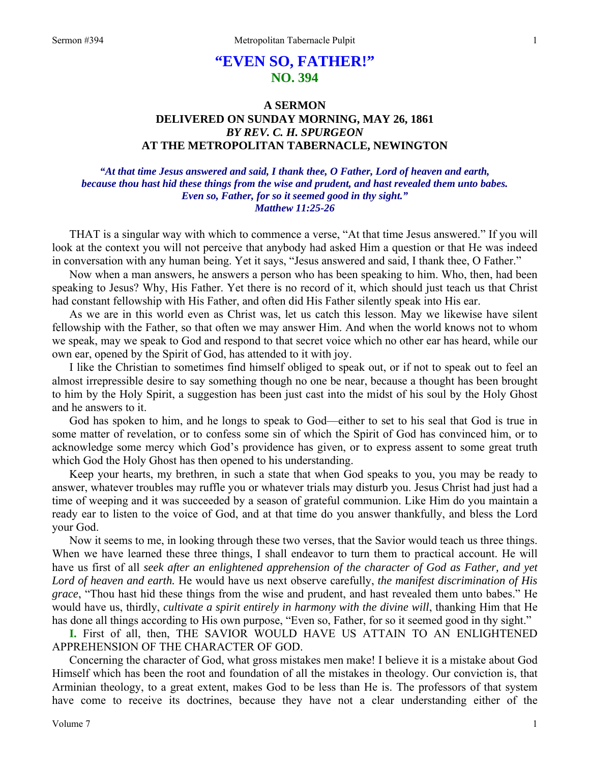## **"EVEN SO, FATHER!" NO. 394**

## **A SERMON DELIVERED ON SUNDAY MORNING, MAY 26, 1861**  *BY REV. C. H. SPURGEON*  **AT THE METROPOLITAN TABERNACLE, NEWINGTON**

## *"At that time Jesus answered and said, I thank thee, O Father, Lord of heaven and earth, because thou hast hid these things from the wise and prudent, and hast revealed them unto babes. Even so, Father, for so it seemed good in thy sight." Matthew 11:25-26*

THAT is a singular way with which to commence a verse, "At that time Jesus answered." If you will look at the context you will not perceive that anybody had asked Him a question or that He was indeed in conversation with any human being. Yet it says, "Jesus answered and said, I thank thee, O Father."

Now when a man answers, he answers a person who has been speaking to him. Who, then, had been speaking to Jesus? Why, His Father. Yet there is no record of it, which should just teach us that Christ had constant fellowship with His Father, and often did His Father silently speak into His ear.

As we are in this world even as Christ was, let us catch this lesson. May we likewise have silent fellowship with the Father, so that often we may answer Him. And when the world knows not to whom we speak, may we speak to God and respond to that secret voice which no other ear has heard, while our own ear, opened by the Spirit of God, has attended to it with joy.

I like the Christian to sometimes find himself obliged to speak out, or if not to speak out to feel an almost irrepressible desire to say something though no one be near, because a thought has been brought to him by the Holy Spirit, a suggestion has been just cast into the midst of his soul by the Holy Ghost and he answers to it.

God has spoken to him, and he longs to speak to God—either to set to his seal that God is true in some matter of revelation, or to confess some sin of which the Spirit of God has convinced him, or to acknowledge some mercy which God's providence has given, or to express assent to some great truth which God the Holy Ghost has then opened to his understanding.

Keep your hearts, my brethren, in such a state that when God speaks to you, you may be ready to answer, whatever troubles may ruffle you or whatever trials may disturb you. Jesus Christ had just had a time of weeping and it was succeeded by a season of grateful communion. Like Him do you maintain a ready ear to listen to the voice of God, and at that time do you answer thankfully, and bless the Lord your God.

Now it seems to me, in looking through these two verses, that the Savior would teach us three things. When we have learned these three things, I shall endeavor to turn them to practical account. He will have us first of all *seek after an enlightened apprehension of the character of God as Father, and yet Lord of heaven and earth.* He would have us next observe carefully, *the manifest discrimination of His grace*, "Thou hast hid these things from the wise and prudent, and hast revealed them unto babes." He would have us, thirdly, *cultivate a spirit entirely in harmony with the divine will*, thanking Him that He has done all things according to His own purpose, "Even so, Father, for so it seemed good in thy sight."

**I.** First of all, then, THE SAVIOR WOULD HAVE US ATTAIN TO AN ENLIGHTENED APPREHENSION OF THE CHARACTER OF GOD.

Concerning the character of God, what gross mistakes men make! I believe it is a mistake about God Himself which has been the root and foundation of all the mistakes in theology. Our conviction is, that Arminian theology, to a great extent, makes God to be less than He is. The professors of that system have come to receive its doctrines, because they have not a clear understanding either of the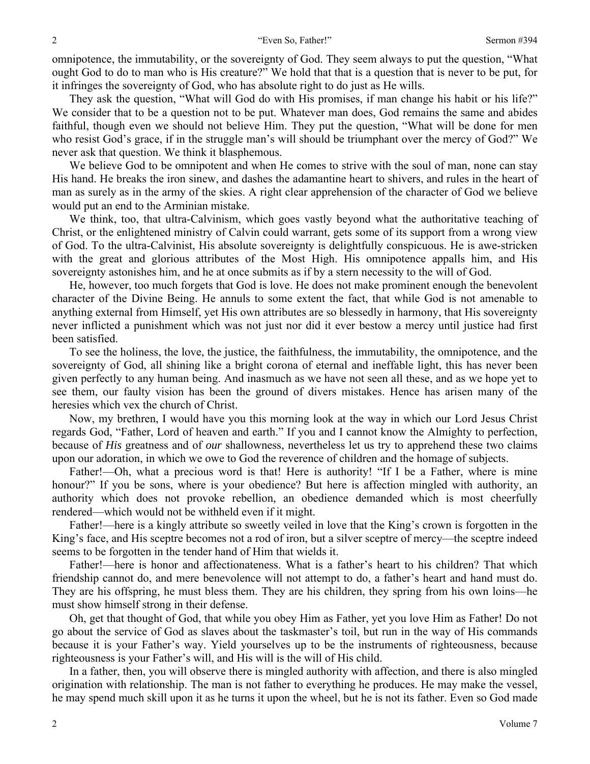omnipotence, the immutability, or the sovereignty of God. They seem always to put the question, "What ought God to do to man who is His creature?" We hold that that is a question that is never to be put, for it infringes the sovereignty of God, who has absolute right to do just as He wills.

They ask the question, "What will God do with His promises, if man change his habit or his life?" We consider that to be a question not to be put. Whatever man does, God remains the same and abides faithful, though even we should not believe Him. They put the question, "What will be done for men who resist God's grace, if in the struggle man's will should be triumphant over the mercy of God?" We never ask that question. We think it blasphemous.

We believe God to be omnipotent and when He comes to strive with the soul of man, none can stay His hand. He breaks the iron sinew, and dashes the adamantine heart to shivers, and rules in the heart of man as surely as in the army of the skies. A right clear apprehension of the character of God we believe would put an end to the Arminian mistake.

We think, too, that ultra-Calvinism, which goes vastly beyond what the authoritative teaching of Christ, or the enlightened ministry of Calvin could warrant, gets some of its support from a wrong view of God. To the ultra-Calvinist, His absolute sovereignty is delightfully conspicuous. He is awe-stricken with the great and glorious attributes of the Most High. His omnipotence appalls him, and His sovereignty astonishes him, and he at once submits as if by a stern necessity to the will of God.

He, however, too much forgets that God is love. He does not make prominent enough the benevolent character of the Divine Being. He annuls to some extent the fact, that while God is not amenable to anything external from Himself, yet His own attributes are so blessedly in harmony, that His sovereignty never inflicted a punishment which was not just nor did it ever bestow a mercy until justice had first been satisfied.

To see the holiness, the love, the justice, the faithfulness, the immutability, the omnipotence, and the sovereignty of God, all shining like a bright corona of eternal and ineffable light, this has never been given perfectly to any human being. And inasmuch as we have not seen all these, and as we hope yet to see them, our faulty vision has been the ground of divers mistakes. Hence has arisen many of the heresies which vex the church of Christ.

Now, my brethren, I would have you this morning look at the way in which our Lord Jesus Christ regards God, "Father, Lord of heaven and earth." If you and I cannot know the Almighty to perfection, because of *His* greatness and of *our* shallowness, nevertheless let us try to apprehend these two claims upon our adoration, in which we owe to God the reverence of children and the homage of subjects.

Father!—Oh, what a precious word is that! Here is authority! "If I be a Father, where is mine honour?" If you be sons, where is your obedience? But here is affection mingled with authority, an authority which does not provoke rebellion, an obedience demanded which is most cheerfully rendered—which would not be withheld even if it might.

Father!—here is a kingly attribute so sweetly veiled in love that the King's crown is forgotten in the King's face, and His sceptre becomes not a rod of iron, but a silver sceptre of mercy—the sceptre indeed seems to be forgotten in the tender hand of Him that wields it.

Father!—here is honor and affectionateness. What is a father's heart to his children? That which friendship cannot do, and mere benevolence will not attempt to do, a father's heart and hand must do. They are his offspring, he must bless them. They are his children, they spring from his own loins—he must show himself strong in their defense.

Oh, get that thought of God, that while you obey Him as Father, yet you love Him as Father! Do not go about the service of God as slaves about the taskmaster's toil, but run in the way of His commands because it is your Father's way. Yield yourselves up to be the instruments of righteousness, because righteousness is your Father's will, and His will is the will of His child.

In a father, then, you will observe there is mingled authority with affection, and there is also mingled origination with relationship. The man is not father to everything he produces. He may make the vessel, he may spend much skill upon it as he turns it upon the wheel, but he is not its father. Even so God made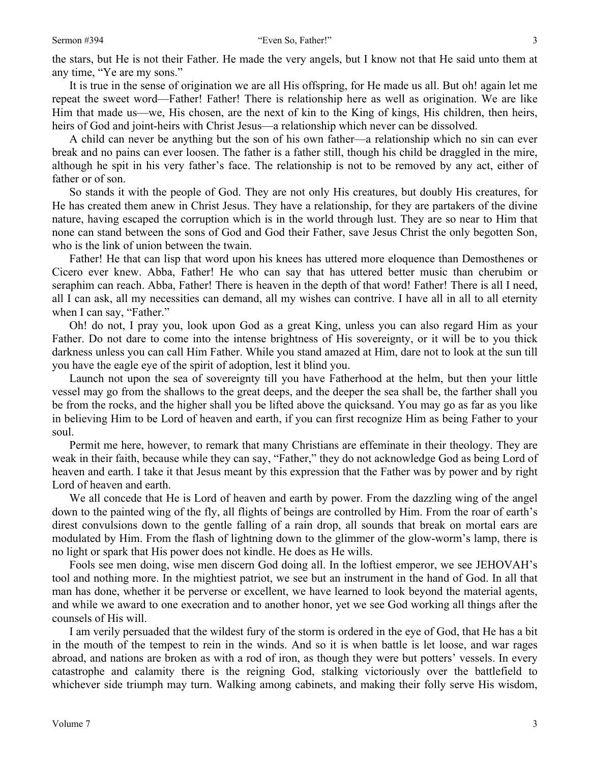the stars, but He is not their Father. He made the very angels, but I know not that He said unto them at any time, "Ye are my sons."

It is true in the sense of origination we are all His offspring, for He made us all. But oh! again let me repeat the sweet word—Father! Father! There is relationship here as well as origination. We are like Him that made us—we, His chosen, are the next of kin to the King of kings, His children, then heirs, heirs of God and joint-heirs with Christ Jesus—a relationship which never can be dissolved.

A child can never be anything but the son of his own father—a relationship which no sin can ever break and no pains can ever loosen. The father is a father still, though his child be draggled in the mire, although he spit in his very father's face. The relationship is not to be removed by any act, either of father or of son.

So stands it with the people of God. They are not only His creatures, but doubly His creatures, for He has created them anew in Christ Jesus. They have a relationship, for they are partakers of the divine nature, having escaped the corruption which is in the world through lust. They are so near to Him that none can stand between the sons of God and God their Father, save Jesus Christ the only begotten Son, who is the link of union between the twain.

Father! He that can lisp that word upon his knees has uttered more eloquence than Demosthenes or Cicero ever knew. Abba, Father! He who can say that has uttered better music than cherubim or seraphim can reach. Abba, Father! There is heaven in the depth of that word! Father! There is all I need, all I can ask, all my necessities can demand, all my wishes can contrive. I have all in all to all eternity when I can say, "Father."

Oh! do not, I pray you, look upon God as a great King, unless you can also regard Him as your Father. Do not dare to come into the intense brightness of His sovereignty, or it will be to you thick darkness unless you can call Him Father. While you stand amazed at Him, dare not to look at the sun till you have the eagle eye of the spirit of adoption, lest it blind you.

Launch not upon the sea of sovereignty till you have Fatherhood at the helm, but then your little vessel may go from the shallows to the great deeps, and the deeper the sea shall be, the farther shall you be from the rocks, and the higher shall you be lifted above the quicksand. You may go as far as you like in believing Him to be Lord of heaven and earth, if you can first recognize Him as being Father to your soul.

Permit me here, however, to remark that many Christians are effeminate in their theology. They are weak in their faith, because while they can say, "Father," they do not acknowledge God as being Lord of heaven and earth. I take it that Jesus meant by this expression that the Father was by power and by right Lord of heaven and earth.

We all concede that He is Lord of heaven and earth by power. From the dazzling wing of the angel down to the painted wing of the fly, all flights of beings are controlled by Him. From the roar of earth's direst convulsions down to the gentle falling of a rain drop, all sounds that break on mortal ears are modulated by Him. From the flash of lightning down to the glimmer of the glow-worm's lamp, there is no light or spark that His power does not kindle. He does as He wills.

Fools see men doing, wise men discern God doing all. In the loftiest emperor, we see JEHOVAH's tool and nothing more. In the mightiest patriot, we see but an instrument in the hand of God. In all that man has done, whether it be perverse or excellent, we have learned to look beyond the material agents, and while we award to one execration and to another honor, yet we see God working all things after the counsels of His will.

I am verily persuaded that the wildest fury of the storm is ordered in the eye of God, that He has a bit in the mouth of the tempest to rein in the winds. And so it is when battle is let loose, and war rages abroad, and nations are broken as with a rod of iron, as though they were but potters' vessels. In every catastrophe and calamity there is the reigning God, stalking victoriously over the battlefield to whichever side triumph may turn. Walking among cabinets, and making their folly serve His wisdom,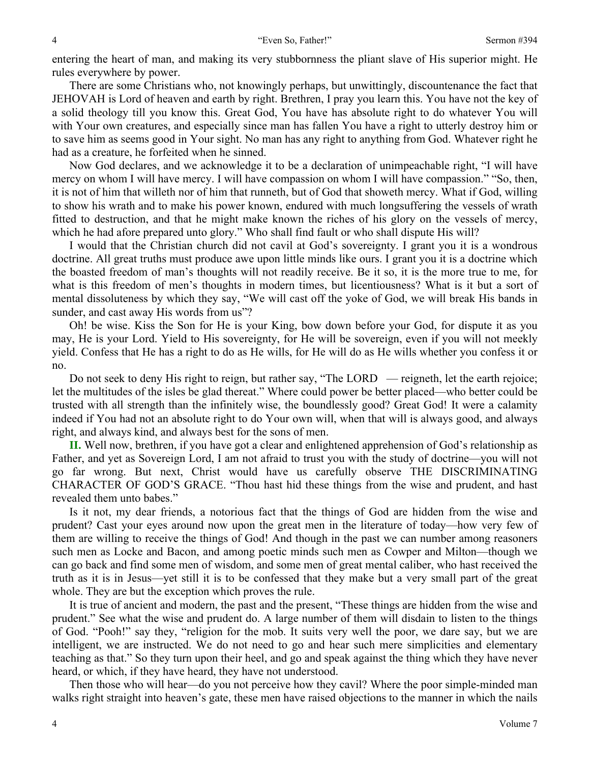entering the heart of man, and making its very stubbornness the pliant slave of His superior might. He rules everywhere by power.

There are some Christians who, not knowingly perhaps, but unwittingly, discountenance the fact that JEHOVAH is Lord of heaven and earth by right. Brethren, I pray you learn this. You have not the key of a solid theology till you know this. Great God, You have has absolute right to do whatever You will with Your own creatures, and especially since man has fallen You have a right to utterly destroy him or to save him as seems good in Your sight. No man has any right to anything from God. Whatever right he had as a creature, he forfeited when he sinned.

Now God declares, and we acknowledge it to be a declaration of unimpeachable right, "I will have mercy on whom I will have mercy. I will have compassion on whom I will have compassion." "So, then, it is not of him that willeth nor of him that runneth, but of God that showeth mercy. What if God, willing to show his wrath and to make his power known, endured with much longsuffering the vessels of wrath fitted to destruction, and that he might make known the riches of his glory on the vessels of mercy, which he had afore prepared unto glory." Who shall find fault or who shall dispute His will?

I would that the Christian church did not cavil at God's sovereignty. I grant you it is a wondrous doctrine. All great truths must produce awe upon little minds like ours. I grant you it is a doctrine which the boasted freedom of man's thoughts will not readily receive. Be it so, it is the more true to me, for what is this freedom of men's thoughts in modern times, but licentiousness? What is it but a sort of mental dissoluteness by which they say, "We will cast off the yoke of God, we will break His bands in sunder, and cast away His words from us"?

Oh! be wise. Kiss the Son for He is your King, bow down before your God, for dispute it as you may, He is your Lord. Yield to His sovereignty, for He will be sovereign, even if you will not meekly yield. Confess that He has a right to do as He wills, for He will do as He wills whether you confess it or no.

Do not seek to deny His right to reign, but rather say, "The LORD — reigneth, let the earth rejoice; let the multitudes of the isles be glad thereat." Where could power be better placed—who better could be trusted with all strength than the infinitely wise, the boundlessly good? Great God! It were a calamity indeed if You had not an absolute right to do Your own will, when that will is always good, and always right, and always kind, and always best for the sons of men.

**II.** Well now, brethren, if you have got a clear and enlightened apprehension of God's relationship as Father, and yet as Sovereign Lord, I am not afraid to trust you with the study of doctrine—you will not go far wrong. But next, Christ would have us carefully observe THE DISCRIMINATING CHARACTER OF GOD'S GRACE. "Thou hast hid these things from the wise and prudent, and hast revealed them unto babes."

Is it not, my dear friends, a notorious fact that the things of God are hidden from the wise and prudent? Cast your eyes around now upon the great men in the literature of today—how very few of them are willing to receive the things of God! And though in the past we can number among reasoners such men as Locke and Bacon, and among poetic minds such men as Cowper and Milton—though we can go back and find some men of wisdom, and some men of great mental caliber, who hast received the truth as it is in Jesus—yet still it is to be confessed that they make but a very small part of the great whole. They are but the exception which proves the rule.

It is true of ancient and modern, the past and the present, "These things are hidden from the wise and prudent." See what the wise and prudent do. A large number of them will disdain to listen to the things of God. "Pooh!" say they, "religion for the mob. It suits very well the poor, we dare say, but we are intelligent, we are instructed. We do not need to go and hear such mere simplicities and elementary teaching as that." So they turn upon their heel, and go and speak against the thing which they have never heard, or which, if they have heard, they have not understood.

Then those who will hear—do you not perceive how they cavil? Where the poor simple-minded man walks right straight into heaven's gate, these men have raised objections to the manner in which the nails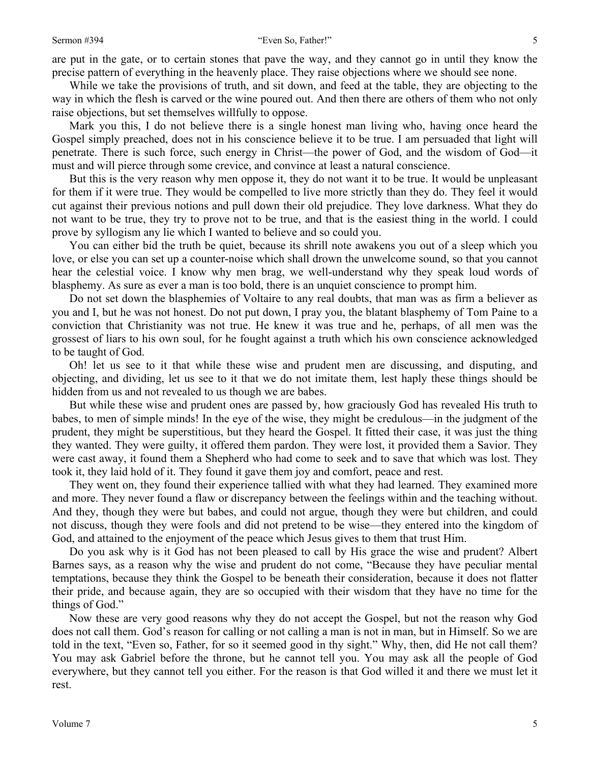are put in the gate, or to certain stones that pave the way, and they cannot go in until they know the precise pattern of everything in the heavenly place. They raise objections where we should see none.

While we take the provisions of truth, and sit down, and feed at the table, they are objecting to the way in which the flesh is carved or the wine poured out. And then there are others of them who not only raise objections, but set themselves willfully to oppose.

Mark you this, I do not believe there is a single honest man living who, having once heard the Gospel simply preached, does not in his conscience believe it to be true. I am persuaded that light will penetrate. There is such force, such energy in Christ—the power of God, and the wisdom of God—it must and will pierce through some crevice, and convince at least a natural conscience.

But this is the very reason why men oppose it, they do not want it to be true. It would be unpleasant for them if it were true. They would be compelled to live more strictly than they do. They feel it would cut against their previous notions and pull down their old prejudice. They love darkness. What they do not want to be true, they try to prove not to be true, and that is the easiest thing in the world. I could prove by syllogism any lie which I wanted to believe and so could you.

You can either bid the truth be quiet, because its shrill note awakens you out of a sleep which you love, or else you can set up a counter-noise which shall drown the unwelcome sound, so that you cannot hear the celestial voice. I know why men brag, we well-understand why they speak loud words of blasphemy. As sure as ever a man is too bold, there is an unquiet conscience to prompt him.

Do not set down the blasphemies of Voltaire to any real doubts, that man was as firm a believer as you and I, but he was not honest. Do not put down, I pray you, the blatant blasphemy of Tom Paine to a conviction that Christianity was not true. He knew it was true and he, perhaps, of all men was the grossest of liars to his own soul, for he fought against a truth which his own conscience acknowledged to be taught of God.

Oh! let us see to it that while these wise and prudent men are discussing, and disputing, and objecting, and dividing, let us see to it that we do not imitate them, lest haply these things should be hidden from us and not revealed to us though we are babes.

But while these wise and prudent ones are passed by, how graciously God has revealed His truth to babes, to men of simple minds! In the eye of the wise, they might be credulous—in the judgment of the prudent, they might be superstitious, but they heard the Gospel. It fitted their case, it was just the thing they wanted. They were guilty, it offered them pardon. They were lost, it provided them a Savior. They were cast away, it found them a Shepherd who had come to seek and to save that which was lost. They took it, they laid hold of it. They found it gave them joy and comfort, peace and rest.

They went on, they found their experience tallied with what they had learned. They examined more and more. They never found a flaw or discrepancy between the feelings within and the teaching without. And they, though they were but babes, and could not argue, though they were but children, and could not discuss, though they were fools and did not pretend to be wise—they entered into the kingdom of God, and attained to the enjoyment of the peace which Jesus gives to them that trust Him.

Do you ask why is it God has not been pleased to call by His grace the wise and prudent? Albert Barnes says, as a reason why the wise and prudent do not come, "Because they have peculiar mental temptations, because they think the Gospel to be beneath their consideration, because it does not flatter their pride, and because again, they are so occupied with their wisdom that they have no time for the things of God."

Now these are very good reasons why they do not accept the Gospel, but not the reason why God does not call them. God's reason for calling or not calling a man is not in man, but in Himself. So we are told in the text, "Even so, Father, for so it seemed good in thy sight." Why, then, did He not call them? You may ask Gabriel before the throne, but he cannot tell you. You may ask all the people of God everywhere, but they cannot tell you either. For the reason is that God willed it and there we must let it rest.

5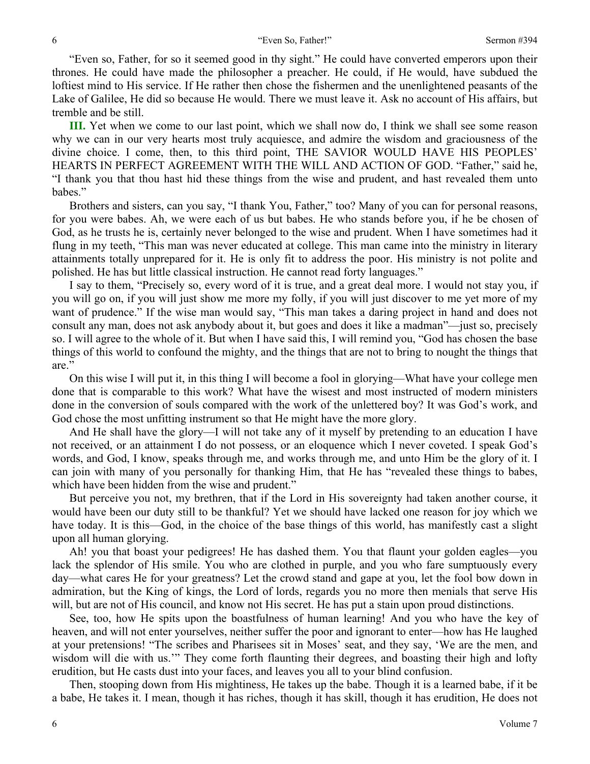"Even so, Father, for so it seemed good in thy sight." He could have converted emperors upon their thrones. He could have made the philosopher a preacher. He could, if He would, have subdued the loftiest mind to His service. If He rather then chose the fishermen and the unenlightened peasants of the Lake of Galilee, He did so because He would. There we must leave it. Ask no account of His affairs, but tremble and be still.

**III.** Yet when we come to our last point, which we shall now do, I think we shall see some reason why we can in our very hearts most truly acquiesce, and admire the wisdom and graciousness of the divine choice. I come, then, to this third point, THE SAVIOR WOULD HAVE HIS PEOPLES' HEARTS IN PERFECT AGREEMENT WITH THE WILL AND ACTION OF GOD. "Father," said he, "I thank you that thou hast hid these things from the wise and prudent, and hast revealed them unto babes."

Brothers and sisters, can you say, "I thank You, Father," too? Many of you can for personal reasons, for you were babes. Ah, we were each of us but babes. He who stands before you, if he be chosen of God, as he trusts he is, certainly never belonged to the wise and prudent. When I have sometimes had it flung in my teeth, "This man was never educated at college. This man came into the ministry in literary attainments totally unprepared for it. He is only fit to address the poor. His ministry is not polite and polished. He has but little classical instruction. He cannot read forty languages."

I say to them, "Precisely so, every word of it is true, and a great deal more. I would not stay you, if you will go on, if you will just show me more my folly, if you will just discover to me yet more of my want of prudence." If the wise man would say, "This man takes a daring project in hand and does not consult any man, does not ask anybody about it, but goes and does it like a madman"—just so, precisely so. I will agree to the whole of it. But when I have said this, I will remind you, "God has chosen the base things of this world to confound the mighty, and the things that are not to bring to nought the things that are."

On this wise I will put it, in this thing I will become a fool in glorying—What have your college men done that is comparable to this work? What have the wisest and most instructed of modern ministers done in the conversion of souls compared with the work of the unlettered boy? It was God's work, and God chose the most unfitting instrument so that He might have the more glory.

And He shall have the glory—I will not take any of it myself by pretending to an education I have not received, or an attainment I do not possess, or an eloquence which I never coveted. I speak God's words, and God, I know, speaks through me, and works through me, and unto Him be the glory of it. I can join with many of you personally for thanking Him, that He has "revealed these things to babes, which have been hidden from the wise and prudent."

But perceive you not, my brethren, that if the Lord in His sovereignty had taken another course, it would have been our duty still to be thankful? Yet we should have lacked one reason for joy which we have today. It is this—God, in the choice of the base things of this world, has manifestly cast a slight upon all human glorying.

Ah! you that boast your pedigrees! He has dashed them. You that flaunt your golden eagles—you lack the splendor of His smile. You who are clothed in purple, and you who fare sumptuously every day—what cares He for your greatness? Let the crowd stand and gape at you, let the fool bow down in admiration, but the King of kings, the Lord of lords, regards you no more then menials that serve His will, but are not of His council, and know not His secret. He has put a stain upon proud distinctions.

See, too, how He spits upon the boastfulness of human learning! And you who have the key of heaven, and will not enter yourselves, neither suffer the poor and ignorant to enter—how has He laughed at your pretensions! "The scribes and Pharisees sit in Moses' seat, and they say, 'We are the men, and wisdom will die with us.'" They come forth flaunting their degrees, and boasting their high and lofty erudition, but He casts dust into your faces, and leaves you all to your blind confusion.

Then, stooping down from His mightiness, He takes up the babe. Though it is a learned babe, if it be a babe, He takes it. I mean, though it has riches, though it has skill, though it has erudition, He does not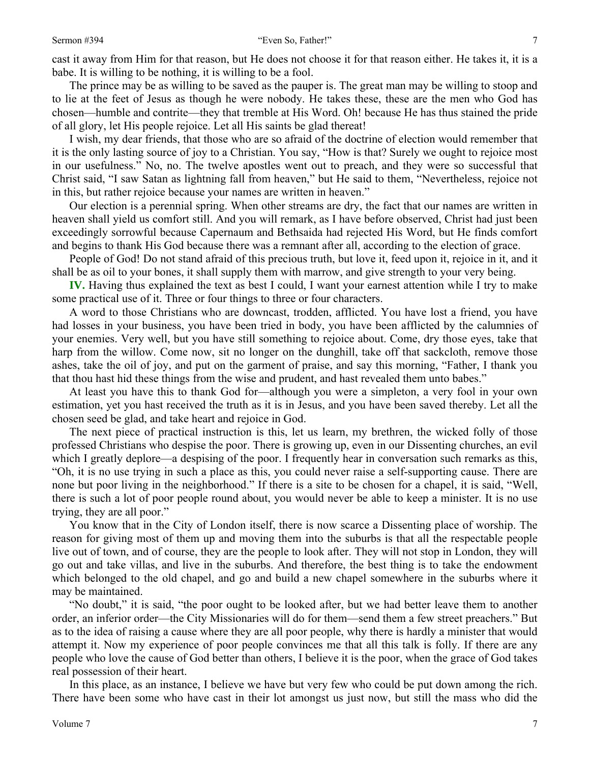cast it away from Him for that reason, but He does not choose it for that reason either. He takes it, it is a babe. It is willing to be nothing, it is willing to be a fool.

The prince may be as willing to be saved as the pauper is. The great man may be willing to stoop and to lie at the feet of Jesus as though he were nobody. He takes these, these are the men who God has chosen—humble and contrite—they that tremble at His Word. Oh! because He has thus stained the pride of all glory, let His people rejoice. Let all His saints be glad thereat!

I wish, my dear friends, that those who are so afraid of the doctrine of election would remember that it is the only lasting source of joy to a Christian. You say, "How is that? Surely we ought to rejoice most in our usefulness." No, no. The twelve apostles went out to preach, and they were so successful that Christ said, "I saw Satan as lightning fall from heaven," but He said to them, "Nevertheless, rejoice not in this, but rather rejoice because your names are written in heaven."

Our election is a perennial spring. When other streams are dry, the fact that our names are written in heaven shall yield us comfort still. And you will remark, as I have before observed, Christ had just been exceedingly sorrowful because Capernaum and Bethsaida had rejected His Word, but He finds comfort and begins to thank His God because there was a remnant after all, according to the election of grace.

People of God! Do not stand afraid of this precious truth, but love it, feed upon it, rejoice in it, and it shall be as oil to your bones, it shall supply them with marrow, and give strength to your very being.

**IV.** Having thus explained the text as best I could, I want your earnest attention while I try to make some practical use of it. Three or four things to three or four characters.

A word to those Christians who are downcast, trodden, afflicted. You have lost a friend, you have had losses in your business, you have been tried in body, you have been afflicted by the calumnies of your enemies. Very well, but you have still something to rejoice about. Come, dry those eyes, take that harp from the willow. Come now, sit no longer on the dunghill, take off that sackcloth, remove those ashes, take the oil of joy, and put on the garment of praise, and say this morning, "Father, I thank you that thou hast hid these things from the wise and prudent, and hast revealed them unto babes."

At least you have this to thank God for—although you were a simpleton, a very fool in your own estimation, yet you hast received the truth as it is in Jesus, and you have been saved thereby. Let all the chosen seed be glad, and take heart and rejoice in God.

The next piece of practical instruction is this, let us learn, my brethren, the wicked folly of those professed Christians who despise the poor. There is growing up, even in our Dissenting churches, an evil which I greatly deplore—a despising of the poor. I frequently hear in conversation such remarks as this, "Oh, it is no use trying in such a place as this, you could never raise a self-supporting cause. There are none but poor living in the neighborhood." If there is a site to be chosen for a chapel, it is said, "Well, there is such a lot of poor people round about, you would never be able to keep a minister. It is no use trying, they are all poor."

You know that in the City of London itself, there is now scarce a Dissenting place of worship. The reason for giving most of them up and moving them into the suburbs is that all the respectable people live out of town, and of course, they are the people to look after. They will not stop in London, they will go out and take villas, and live in the suburbs. And therefore, the best thing is to take the endowment which belonged to the old chapel, and go and build a new chapel somewhere in the suburbs where it may be maintained.

"No doubt," it is said, "the poor ought to be looked after, but we had better leave them to another order, an inferior order—the City Missionaries will do for them—send them a few street preachers." But as to the idea of raising a cause where they are all poor people, why there is hardly a minister that would attempt it. Now my experience of poor people convinces me that all this talk is folly. If there are any people who love the cause of God better than others, I believe it is the poor, when the grace of God takes real possession of their heart.

In this place, as an instance, I believe we have but very few who could be put down among the rich. There have been some who have cast in their lot amongst us just now, but still the mass who did the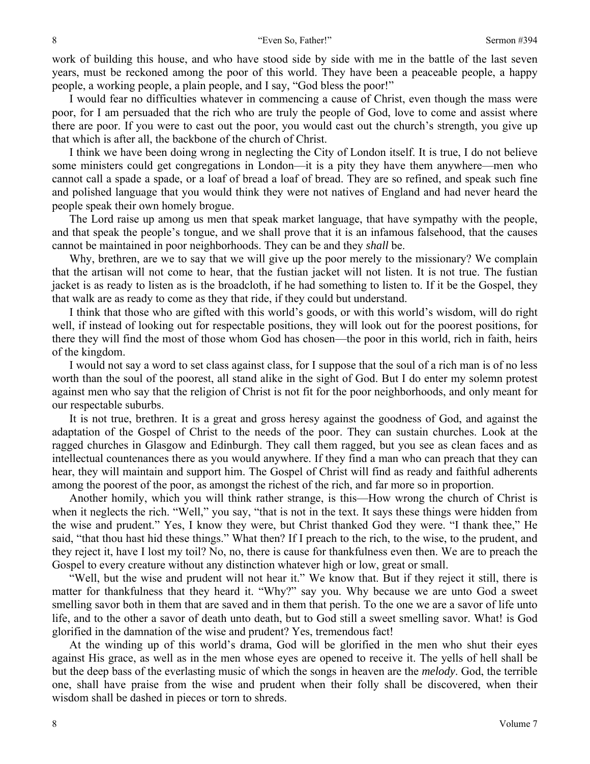work of building this house, and who have stood side by side with me in the battle of the last seven years, must be reckoned among the poor of this world. They have been a peaceable people, a happy people, a working people, a plain people, and I say, "God bless the poor!"

I would fear no difficulties whatever in commencing a cause of Christ, even though the mass were poor, for I am persuaded that the rich who are truly the people of God, love to come and assist where there are poor. If you were to cast out the poor, you would cast out the church's strength, you give up that which is after all, the backbone of the church of Christ.

I think we have been doing wrong in neglecting the City of London itself. It is true, I do not believe some ministers could get congregations in London—it is a pity they have them anywhere—men who cannot call a spade a spade, or a loaf of bread a loaf of bread. They are so refined, and speak such fine and polished language that you would think they were not natives of England and had never heard the people speak their own homely brogue.

The Lord raise up among us men that speak market language, that have sympathy with the people, and that speak the people's tongue, and we shall prove that it is an infamous falsehood, that the causes cannot be maintained in poor neighborhoods. They can be and they *shall* be.

Why, brethren, are we to say that we will give up the poor merely to the missionary? We complain that the artisan will not come to hear, that the fustian jacket will not listen. It is not true. The fustian jacket is as ready to listen as is the broadcloth, if he had something to listen to. If it be the Gospel, they that walk are as ready to come as they that ride, if they could but understand.

I think that those who are gifted with this world's goods, or with this world's wisdom, will do right well, if instead of looking out for respectable positions, they will look out for the poorest positions, for there they will find the most of those whom God has chosen—the poor in this world, rich in faith, heirs of the kingdom.

I would not say a word to set class against class, for I suppose that the soul of a rich man is of no less worth than the soul of the poorest, all stand alike in the sight of God. But I do enter my solemn protest against men who say that the religion of Christ is not fit for the poor neighborhoods, and only meant for our respectable suburbs.

It is not true, brethren. It is a great and gross heresy against the goodness of God, and against the adaptation of the Gospel of Christ to the needs of the poor. They can sustain churches. Look at the ragged churches in Glasgow and Edinburgh. They call them ragged, but you see as clean faces and as intellectual countenances there as you would anywhere. If they find a man who can preach that they can hear, they will maintain and support him. The Gospel of Christ will find as ready and faithful adherents among the poorest of the poor, as amongst the richest of the rich, and far more so in proportion.

Another homily, which you will think rather strange, is this—How wrong the church of Christ is when it neglects the rich. "Well," you say, "that is not in the text. It says these things were hidden from the wise and prudent." Yes, I know they were, but Christ thanked God they were. "I thank thee," He said, "that thou hast hid these things." What then? If I preach to the rich, to the wise, to the prudent, and they reject it, have I lost my toil? No, no, there is cause for thankfulness even then. We are to preach the Gospel to every creature without any distinction whatever high or low, great or small.

"Well, but the wise and prudent will not hear it." We know that. But if they reject it still, there is matter for thankfulness that they heard it. "Why?" say you. Why because we are unto God a sweet smelling savor both in them that are saved and in them that perish. To the one we are a savor of life unto life, and to the other a savor of death unto death, but to God still a sweet smelling savor. What! is God glorified in the damnation of the wise and prudent? Yes, tremendous fact!

At the winding up of this world's drama, God will be glorified in the men who shut their eyes against His grace, as well as in the men whose eyes are opened to receive it. The yells of hell shall be but the deep bass of the everlasting music of which the songs in heaven are the *melody*. God, the terrible one, shall have praise from the wise and prudent when their folly shall be discovered, when their wisdom shall be dashed in pieces or torn to shreds.

8